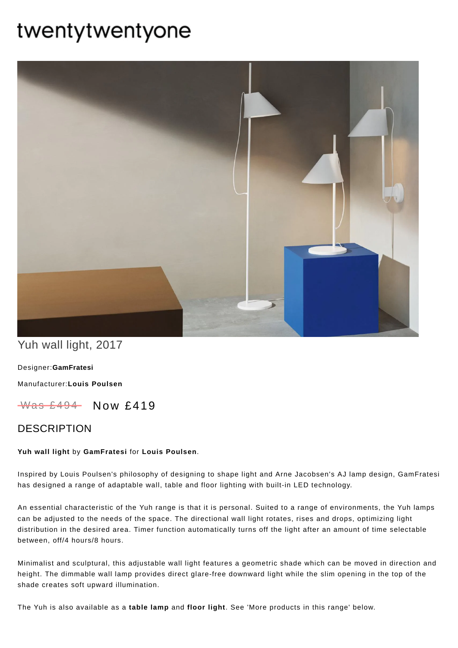# twentytwentyone



## Yuh wall light, 2017

Designer:**[GamFratesi](https://www.twentytwentyone.com/collections/designers-gamfratesi)**

[Manufacturer:](https://www.twentytwentyone.com/collections/manufacturers-louis-poulsen)**Louis Poulsen**

 $W$ as £494 Now £419

### **DESCRIPTION**

#### **Yuh wall light** by **[GamFratesi](http://twentytwentyone.com/designer/gamfratesi)** for **Louis [Poulsen](http://twentytwentyone.com/manufacturer/louis-poulsen)**.

Inspired by Louis Poulsen's philosophy of designing to shape light and Arne Jacobsen's AJ lamp design, GamFratesi has designed a range of adaptable wall, table and floor lighting with built-in LED technology.

An essential characteristic of the Yuh range is that it is personal. Suited to a range of environments, the Yuh lamps can be adjusted to the needs of the space. The directional wall light rotates, rises and drops, optimizing light distribution in the desired area. Timer function automatically turns off the light after an amount of time selectable between, off/4 hours/8 hours.

Minimalist and sculptural, this adjustable wall light features a geometric shade which can be moved in direction and height. The dimmable wall lamp provides direct glare-free downward light while the slim opening in the top of the shade creates soft upward illumination.

The Yuh is also available as a **[table](http://twentytwentyone.com/product/louis-poulsen-gamfratesi-yuh-table-lamp) lamp** and **[floor](http://twentytwentyone.com/product/louis-poulsen-gamfratesi-yuh-floor-light) light**. See 'More products in this range' below.